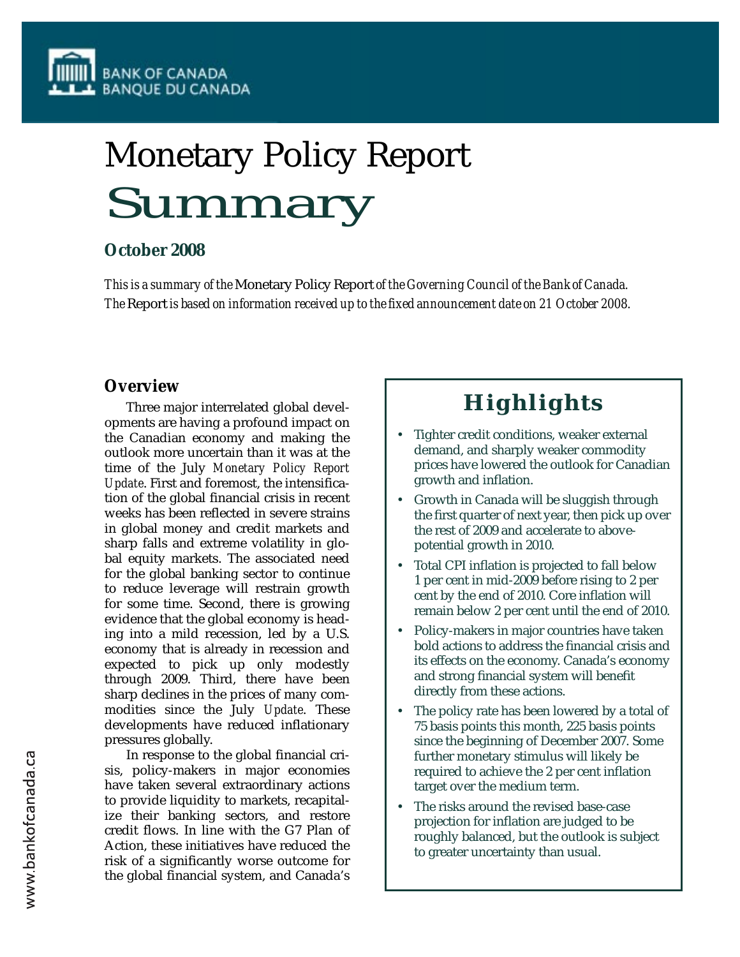

# Monetary Policy Report Summary

## **October 2008**

*This is a summary of the* Monetary Policy Report *of the Governing Council of the Bank of Canada. The* Report *is based on information received up to the fixed announcement date on 21 October 2008.*

## **Overview**

Three major interrelated global developments are having a profound impact on the Canadian economy and making the outlook more uncertain than it was at the time of the July *Monetary Policy Report Update*. First and foremost, the intensification of the global financial crisis in recent weeks has been reflected in severe strains in global money and credit markets and sharp falls and extreme volatility in global equity markets. The associated need for the global banking sector to continue to reduce leverage will restrain growth for some time. Second, there is growing evidence that the global economy is heading into a mild recession, led by a U.S. economy that is already in recession and expected to pick up only modestly through 2009. Third, there have been sharp declines in the prices of many commodities since the July *Update*. These developments have reduced inflationary pressures globally.

In response to the global financial crisis, policy-makers in major economies have taken several extraordinary actions to provide liquidity to markets, recapitalize their banking sectors, and restore credit flows. In line with the G7 Plan of Action, these initiatives have reduced the risk of a significantly worse outcome for the global financial system, and Canada's

## **Highlights**

- Tighter credit conditions, weaker external demand, and sharply weaker commodity prices have lowered the outlook for Canadian growth and inflation.
- Growth in Canada will be sluggish through the first quarter of next year, then pick up over the rest of 2009 and accelerate to abovepotential growth in 2010.
- Total CPI inflation is projected to fall below 1 per cent in mid-2009 before rising to 2 per cent by the end of 2010. Core inflation will remain below 2 per cent until the end of 2010.
- Policy-makers in major countries have taken bold actions to address the financial crisis and its effects on the economy. Canada's economy and strong financial system will benefit directly from these actions.
- The policy rate has been lowered by a total of 75 basis points this month, 225 basis points since the beginning of December 2007. Some further monetary stimulus will likely be required to achieve the 2 per cent inflation target over the medium term.
- The risks around the revised base-case projection for inflation are judged to be roughly balanced, but the outlook is subject to greater uncertainty than usual.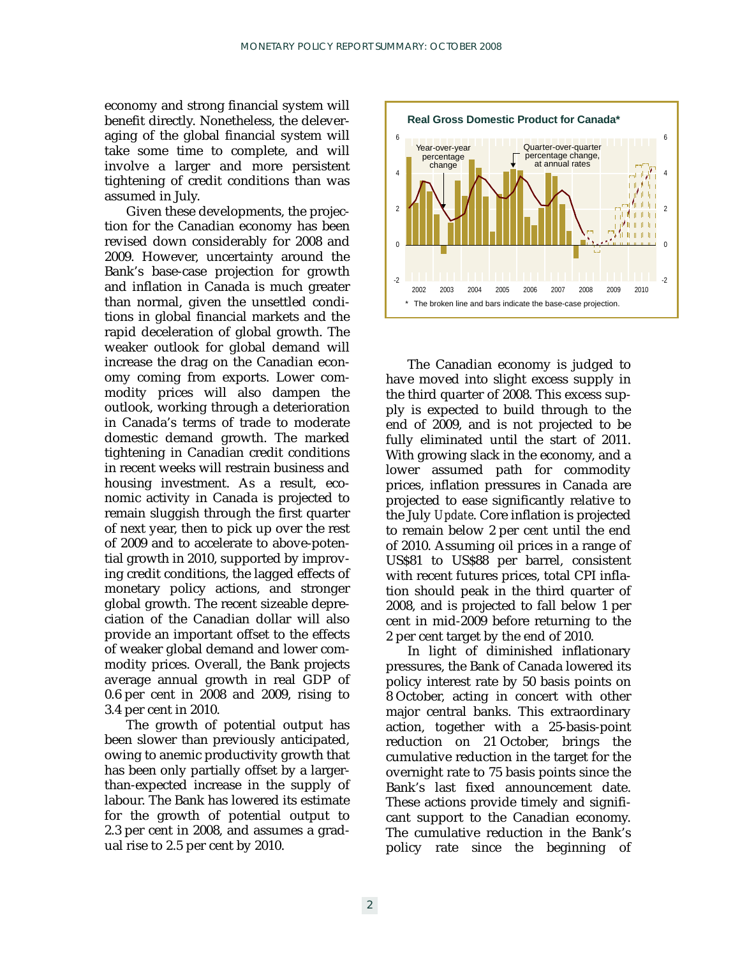economy and strong financial system will benefit directly. Nonetheless, the deleveraging of the global financial system will take some time to complete, and will involve a larger and more persistent tightening of credit conditions than was assumed in July.

Given these developments, the projection for the Canadian economy has been revised down considerably for 2008 and 2009. However, uncertainty around the Bank's base-case projection for growth and inflation in Canada is much greater than normal, given the unsettled conditions in global financial markets and the rapid deceleration of global growth. The weaker outlook for global demand will increase the drag on the Canadian economy coming from exports. Lower commodity prices will also dampen the outlook, working through a deterioration in Canada's terms of trade to moderate domestic demand growth. The marked tightening in Canadian credit conditions in recent weeks will restrain business and housing investment. As a result, economic activity in Canada is projected to remain sluggish through the first quarter of next year, then to pick up over the rest of 2009 and to accelerate to above-potential growth in 2010, supported by improving credit conditions, the lagged effects of monetary policy actions, and stronger global growth. The recent sizeable depreciation of the Canadian dollar will also provide an important offset to the effects of weaker global demand and lower commodity prices. Overall, the Bank projects average annual growth in real GDP of 0.6 per cent in 2008 and 2009, rising to 3.4 per cent in 2010.

The growth of potential output has been slower than previously anticipated, owing to anemic productivity growth that has been only partially offset by a largerthan-expected increase in the supply of labour. The Bank has lowered its estimate for the growth of potential output to 2.3 per cent in 2008, and assumes a gradual rise to 2.5 per cent by 2010.



The Canadian economy is judged to have moved into slight excess supply in the third quarter of 2008. This excess supply is expected to build through to the end of 2009, and is not projected to be fully eliminated until the start of 2011. With growing slack in the economy, and a lower assumed path for commodity prices, inflation pressures in Canada are projected to ease significantly relative to the July *Update*. Core inflation is projected to remain below 2 per cent until the end of 2010. Assuming oil prices in a range of US\$81 to US\$88 per barrel, consistent with recent futures prices, total CPI inflation should peak in the third quarter of 2008, and is projected to fall below 1 per cent in mid-2009 before returning to the 2 per cent target by the end of 2010.

In light of diminished inflationary pressures, the Bank of Canada lowered its policy interest rate by 50 basis points on 8 October, acting in concert with other major central banks. This extraordinary action, together with a 25-basis-point reduction on 21 October, brings the cumulative reduction in the target for the overnight rate to 75 basis points since the Bank's last fixed announcement date. These actions provide timely and significant support to the Canadian economy. The cumulative reduction in the Bank's policy rate since the beginning of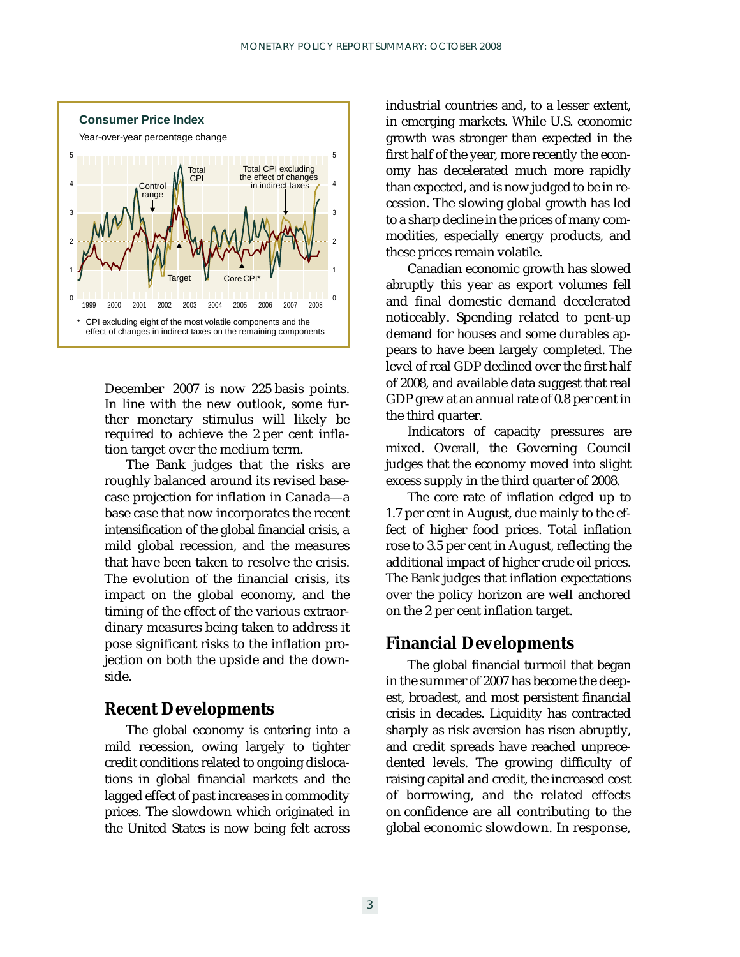

December 2007 is now 225 basis points. In line with the new outlook, some further monetary stimulus will likely be required to achieve the 2 per cent inflation target over the medium term.

The Bank judges that the risks are roughly balanced around its revised basecase projection for inflation in Canada—a base case that now incorporates the recent intensification of the global financial crisis, a mild global recession, and the measures that have been taken to resolve the crisis. The evolution of the financial crisis, its impact on the global economy, and the timing of the effect of the various extraordinary measures being taken to address it pose significant risks to the inflation projection on both the upside and the downside.

## **Recent Developments**

The global economy is entering into a mild recession, owing largely to tighter credit conditions related to ongoing dislocations in global financial markets and the lagged effect of past increases in commodity prices. The slowdown which originated in the United States is now being felt across

industrial countries and, to a lesser extent, in emerging markets. While U.S. economic growth was stronger than expected in the first half of the year, more recently the economy has decelerated much more rapidly than expected, and is now judged to be in recession. The slowing global growth has led to a sharp decline in the prices of many commodities, especially energy products, and these prices remain volatile.

Canadian economic growth has slowed abruptly this year as export volumes fell and final domestic demand decelerated noticeably. Spending related to pent-up demand for houses and some durables appears to have been largely completed. The level of real GDP declined over the first half of 2008, and available data suggest that real GDP grew at an annual rate of 0.8 per cent in the third quarter.

Indicators of capacity pressures are mixed. Overall, the Governing Council judges that the economy moved into slight excess supply in the third quarter of 2008.

The core rate of inflation edged up to 1.7 per cent in August, due mainly to the effect of higher food prices. Total inflation rose to 3.5 per cent in August, reflecting the additional impact of higher crude oil prices. The Bank judges that inflation expectations over the policy horizon are well anchored on the 2 per cent inflation target.

## **Financial Developments**

The global financial turmoil that began in the summer of 2007 has become the deepest, broadest, and most persistent financial crisis in decades. Liquidity has contracted sharply as risk aversion has risen abruptly, and credit spreads have reached unprecedented levels. The growing difficulty of raising capital and credit, the increased cost of borrowing, and the related effects on confidence are all contributing to the global economic slowdown. In response,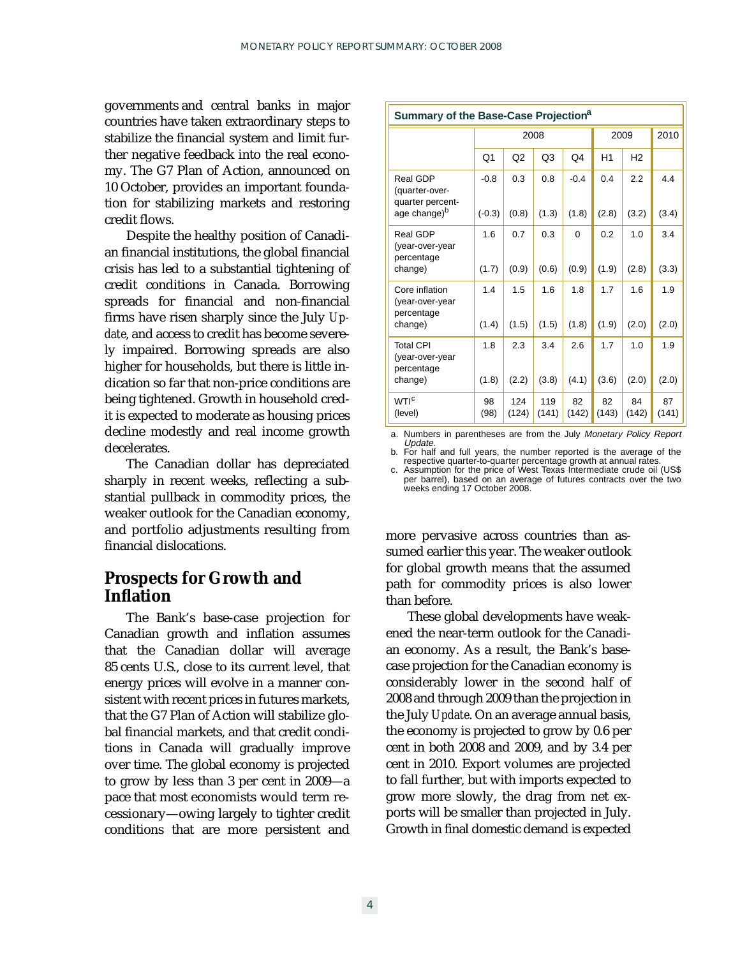governments and central banks in major countries have taken extraordinary steps to stabilize the financial system and limit further negative feedback into the real economy. The G7 Plan of Action, announced on 10 October, provides an important foundation for stabilizing markets and restoring credit flows.

Despite the healthy position of Canadian financial institutions, the global financial crisis has led to a substantial tightening of credit conditions in Canada. Borrowing spreads for financial and non-financial firms have risen sharply since the July *Update*, and access to credit has become severely impaired. Borrowing spreads are also higher for households, but there is little indication so far that non-price conditions are being tightened. Growth in household credit is expected to moderate as housing prices decline modestly and real income growth decelerates.

The Canadian dollar has depreciated sharply in recent weeks, reflecting a substantial pullback in commodity prices, the weaker outlook for the Canadian economy, and portfolio adjustments resulting from financial dislocations.

## **Prospects for Growth and Inflation**

The Bank's base-case projection for Canadian growth and inflation assumes that the Canadian dollar will average 85 cents U.S., close to its current level, that energy prices will evolve in a manner consistent with recent prices in futures markets, that the G7 Plan of Action will stabilize global financial markets, and that credit conditions in Canada will gradually improve over time. The global economy is projected to grow by less than 3 per cent in 2009—a pace that most economists would term recessionary—owing largely to tighter credit conditions that are more persistent and

| Summary of the Base-Case Projection <sup>a</sup>  |            |              |              |             |             |             |             |
|---------------------------------------------------|------------|--------------|--------------|-------------|-------------|-------------|-------------|
|                                                   | 2008       |              |              |             | 2009        |             | 2010        |
|                                                   | Q1         | Q2           | Q3           | Q4          | H1          | H2          |             |
| Real GDP<br>(quarter-over-<br>quarter percent-    | $-0.8$     | 0.3          | 0.8          | $-0.4$      | 0.4         | 2.2         | 4.4         |
| age change) <sup>b</sup>                          | $(-0.3)$   | (0.8)        | (1.3)        | (1.8)       | (2.8)       | (3.2)       | (3.4)       |
| Real GDP<br>(year-over-year<br>percentage         | 1.6        | 0.7          | 0.3          | $\Omega$    | 0.2         | 1.0         | 3.4         |
| change)                                           | (1.7)      | (0.9)        | (0.6)        | (0.9)       | (1.9)       | (2.8)       | (3.3)       |
| Core inflation<br>(year-over-year<br>percentage   | 1.4        | 1.5          | 1.6          | 1.8         | 1.7         | 1.6         | 1.9         |
| change)                                           | (1.4)      | (1.5)        | (1.5)        | (1.8)       | (1.9)       | (2.0)       | (2.0)       |
| <b>Total CPI</b><br>(year-over-year<br>percentage | 1.8        | 2.3          | 3.4          | 2.6         | 1.7         | 1.0         | 1.9         |
| change)                                           | (1.8)      | (2.2)        | (3.8)        | (4.1)       | (3.6)       | (2.0)       | (2.0)       |
| <b>WTI<sup>c</sup></b><br>(level)                 | 98<br>(98) | 124<br>(124) | 119<br>(141) | 82<br>(142) | 82<br>(143) | 84<br>(142) | 87<br>(141) |

a. Numbers in parentheses are from the July Monetary Policy Report

b. For half and full years, the number reported is the average of the respective quarter-to-quarter percentage growth at annual rates. c. Assumption for the price of West Texas Intermediate crude oil (US\$

per barrel), based on an average of futures contracts over the two weeks ending 17 October 2008.

more pervasive across countries than assumed earlier this year. The weaker outlook for global growth means that the assumed path for commodity prices is also lower than before.

These global developments have weakened the near-term outlook for the Canadian economy. As a result, the Bank's basecase projection for the Canadian economy is considerably lower in the second half of 2008 and through 2009 than the projection in the July *Update*. On an average annual basis, the economy is projected to grow by 0.6 per cent in both 2008 and 2009, and by 3.4 per cent in 2010. Export volumes are projected to fall further, but with imports expected to grow more slowly, the drag from net exports will be smaller than projected in July. Growth in final domestic demand is expected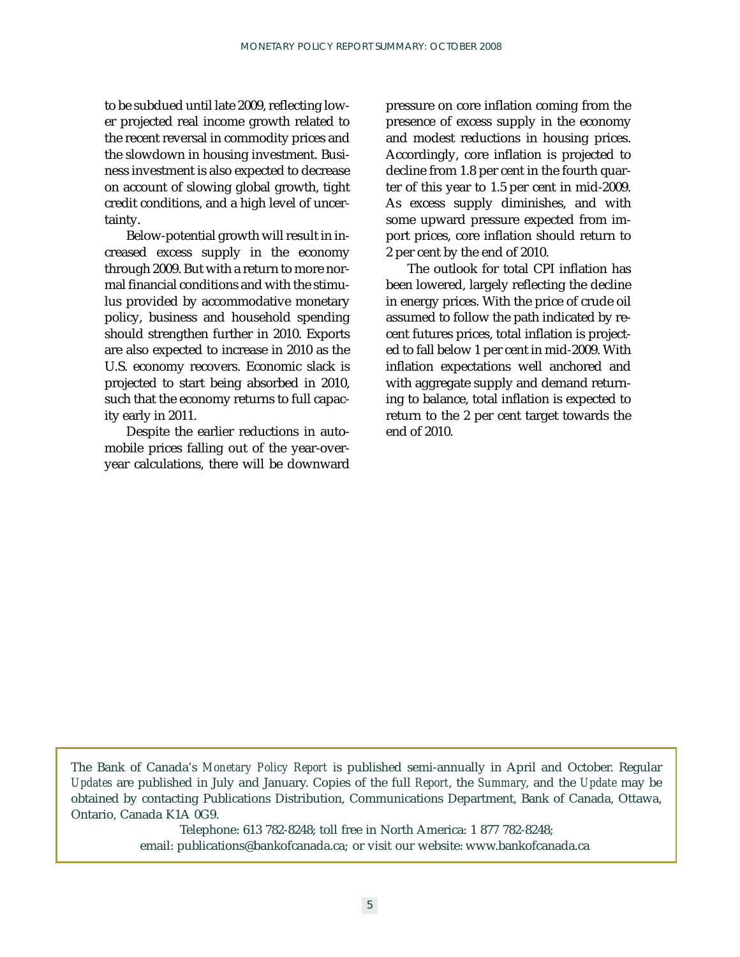to be subdued until late 2009, reflecting lower projected real income growth related to the recent reversal in commodity prices and the slowdown in housing investment. Business investment is also expected to decrease on account of slowing global growth, tight credit conditions, and a high level of uncertainty.

Below-potential growth will result in increased excess supply in the economy through 2009. But with a return to more normal financial conditions and with the stimulus provided by accommodative monetary policy, business and household spending should strengthen further in 2010. Exports are also expected to increase in 2010 as the U.S. economy recovers. Economic slack is projected to start being absorbed in 2010, such that the economy returns to full capacity early in 2011.

Despite the earlier reductions in automobile prices falling out of the year-overyear calculations, there will be downward pressure on core inflation coming from the presence of excess supply in the economy and modest reductions in housing prices. Accordingly, core inflation is projected to decline from 1.8 per cent in the fourth quarter of this year to 1.5 per cent in mid-2009. As excess supply diminishes, and with some upward pressure expected from import prices, core inflation should return to 2 per cent by the end of 2010.

The outlook for total CPI inflation has been lowered, largely reflecting the decline in energy prices. With the price of crude oil assumed to follow the path indicated by recent futures prices, total inflation is projected to fall below 1 per cent in mid-2009. With inflation expectations well anchored and with aggregate supply and demand returning to balance, total inflation is expected to return to the 2 per cent target towards the end of 2010.

The Bank of Canada's *Monetary Policy Report* is published semi-annually in April and October. Regular *Updates* are published in July and January. Copies of the full *Report*, the *Summary*, and the *Update* may be obtained by contacting Publications Distribution, Communications Department, Bank of Canada, Ottawa, Ontario, Canada K1A 0G9.

> Telephone: 613 782-8248; toll free in North America: 1 877 782-8248; email: publications@bankofcanada.ca; or visit our website: www.bankofcanada.ca